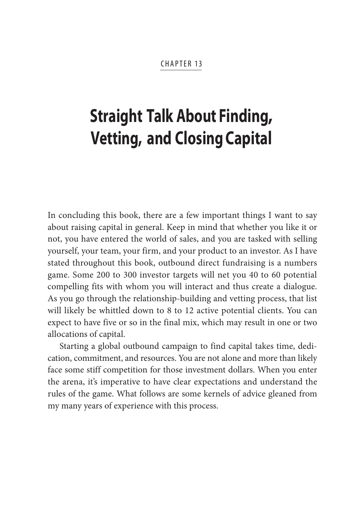#### **CHAPTER 13**

# **Straight Talk About Finding, Vetting, and Closing Capital**

In concluding this book, there are a few important things I want to say about raising capital in general. Keep in mind that whether you like it or not, you have entered the world of sales, and you are tasked with selling yourself, your team, your firm, and your product to an investor. As I have stated throughout this book, outbound direct fundraising is a numbers game. Some 200 to 300 investor targets will net you 40 to 60 potential compelling fits with whom you will interact and thus create a dialogue. As you go through the relationship-building and vetting process, that list will likely be whittled down to 8 to 12 active potential clients. You can expect to have five or so in the final mix, which may result in one or two allocations of capital.

Starting a global outbound campaign to find capital takes time, dedication, commitment, and resources. You are not alone and more than likely face some stiff competition for those investment dollars. When you enter the arena, it's imperative to have clear expectations and understand the rules of the game. What follows are some kernels of advice gleaned from my many years of experience with this process.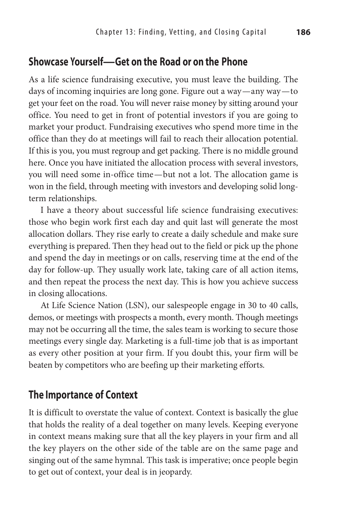### **Showcase Yourself—Get on the Road or on the Phone**

As a life science fundraising executive, you must leave the building. The days of incoming inquiries are long gone. Figure out a way—any way—to get your feet on the road. You will never raise money by sitting around your office. You need to get in front of potential investors if you are going to market your product. Fundraising executives who spend more time in the office than they do at meetings will fail to reach their allocation potential. If this is you, you must regroup and get packing. There is no middle ground here. Once you have initiated the allocation process with several investors, you will need some in-office time—but not a lot. The allocation game is won in the field, through meeting with investors and developing solid longterm relationships.

I have a theory about successful life science fundraising executives: those who begin work first each day and quit last will generate the most allocation dollars. They rise early to create a daily schedule and make sure everything is prepared. Then they head out to the field or pick up the phone and spend the day in meetings or on calls, reserving time at the end of the day for follow-up. They usually work late, taking care of all action items, and then repeat the process the next day. This is how you achieve success in closing allocations.

At Life Science Nation (LSN), our salespeople engage in 30 to 40 calls, demos, or meetings with prospects a month, every month. Though meetings may not be occurring all the time, the sales team is working to secure those meetings every single day. Marketing is a full-time job that is as important as every other position at your firm. If you doubt this, your firm will be beaten by competitors who are beefing up their marketing efforts.

### **The Importance of Context**

It is difficult to overstate the value of context. Context is basically the glue that holds the reality of a deal together on many levels. Keeping everyone in context means making sure that all the key players in your firm and all the key players on the other side of the table are on the same page and singing out of the same hymnal. This task is imperative; once people begin to get out of context, your deal is in jeopardy.